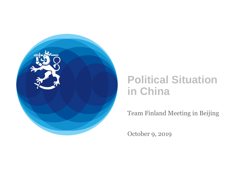

# **Political Situation in China**

Team Finland Meeting in Beijing

October 9, 2019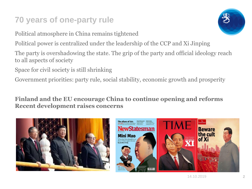## **70 years of one-party rule**

Political atmosphere in China remains tightened

Political power is centralized under the leadership of the CCP and Xi Jinping

The party is overshadowing the state. The grip of the party and official ideology reach to all aspects of society

Space for civil society is still shrinking

Government priorities: party rule, social stability, economic growth and prosperity

#### **Finland and the EU encourage China to continue opening and reforms Recent development raises concerns**





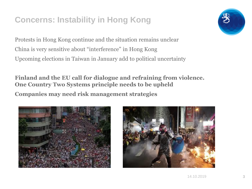## **Concerns: Instability in Hong Kong**



Protests in Hong Kong continue and the situation remains unclear China is very sensitive about "interference" in Hong Kong Upcoming elections in Taiwan in January add to political uncertainty

**Finland and the EU call for dialogue and refraining from violence. One Country Two Systems principle needs to be upheld**

**Companies may need risk management strategies**



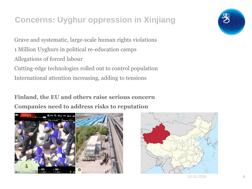## **Concerns: Uyghur oppression in Xinjiang**

Grave and systematic, large-scale human rights violations 1 Million Uyghurs in political re-education camps Allegations of forced labour Cutting-edge technologies rolled out to control population International attention increasing, adding to tensions

### **Finland, the EU and others raise serious concern Companies need to address risks to reputation**





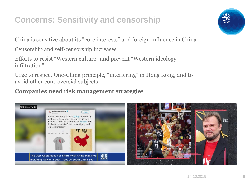## **Concerns: Sensitivity and censorship**

China is sensitive about its "core interests" and foreign influence in China

Censorship and self-censorship increases

Efforts to resist "Western culture" and prevent "Western ideology infiltration"

Urge to respect One-China principle, "interfering" in Hong Kong, and to avoid other controversial subjects

#### **Companies need risk management strategies**

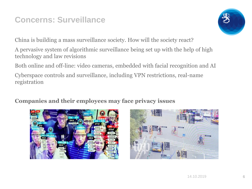## **Concerns: Surveillance**



China is building a mass surveillance society. How will the society react?

A pervasive system of algorithmic surveillance being set up with the help of high technology and law revisions

Both online and off-line: video cameras, embedded with facial recognition and AI

Cyberspace controls and surveillance, including VPN restrictions, real-name registration

#### **Companies and their employees may face privacy issues**



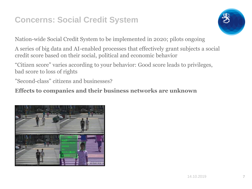## **Concerns: Social Credit System**



Nation-wide Social Credit System to be implemented in 2020; pilots ongoing

A series of big data and AI-enabled processes that effectively grant subjects a social credit score based on their social, political and economic behavior

"Citizen score" varies according to your behavior: Good score leads to privileges, bad score to loss of rights

"Second-class" citizens and businesses?

#### **Effects to companies and their business networks are unknown**

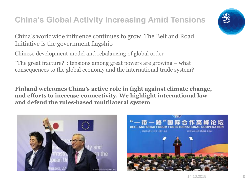# **China's Global Activity Increasing Amid Tensions**

China's worldwide influence continues to grow. The Belt and Road Initiative is the government flagship

Chinese development model and rebalancing of global order

"The great fracture?": tensions among great powers are growing – what consequences to the global economy and the international trade system?

**Finland welcomes China's active role in fight against climate change, and efforts to increase connectivity. We highlight international law and defend the rules-based multilateral system**





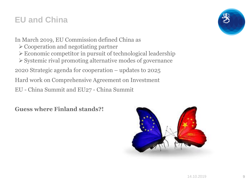## **EU and China**

In March 2019, EU Commission defined China as

- ➢ Cooperation and negotiating partner
- ➢ Economic competitor in pursuit of technological leadership
- ➢ Systemic rival promoting alternative modes of governance

2020 Strategic agenda for cooperation – updates to 2025

Hard work on Comprehensive Agreement on Investment

EU - China Summit and EU27 - China Summit

**Guess where Finland stands?!**



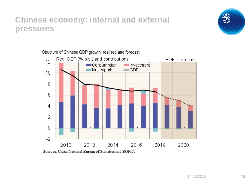## **Chinese economy: internal and external pressures**



Structure of Chinese GDP growth, realised and forecast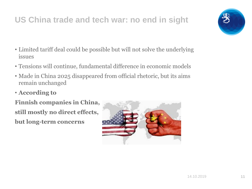# **US China trade and tech war: no end in sight**

- Limited tariff deal could be possible but will not solve the underlying issues
- Tensions will continue, fundamental difference in economic models
- Made in China 2025 disappeared from official rhetoric, but its aims remain unchanged
- **According to**

**Finnish companies in China, still mostly no direct effects, but long-term concerns**



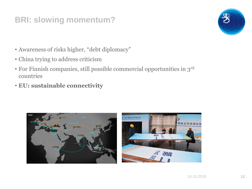## **BRI: slowing momentum?**



- Awareness of risks higher, "debt diplomacy"
- China trying to address criticism
- For Finnish companies, still possible commercial opportunities in 3rd countries
- **EU: sustainable connectivity**



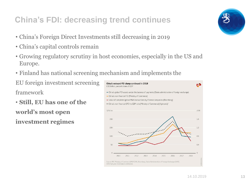## **China's FDI: decreasing trend continues**

- China's Foreign Direct Investments still decreasing in 2019
- China's capital controls remain
- Growing regulatory scrutiny in host economies, especially in the US and Europe.
- Finland has national screening mechanism and implements the

EU foreign investment screening framework

• **Still, EU has one of the world's most open investment regimes**



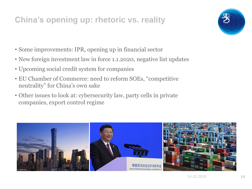## **China's opening up: rhetoric vs. reality**

- Some improvements: IPR, opening up in financial sector
- New foreign investment law in force 1.1.2020, negative list updates
- Upcoming social credit system for companies
- EU Chamber of Commerce: need to reform SOEs, "competitive neutrality" for China's own sake
- Other issues to look at: cybersecurity law, party cells in private companies, export control regime